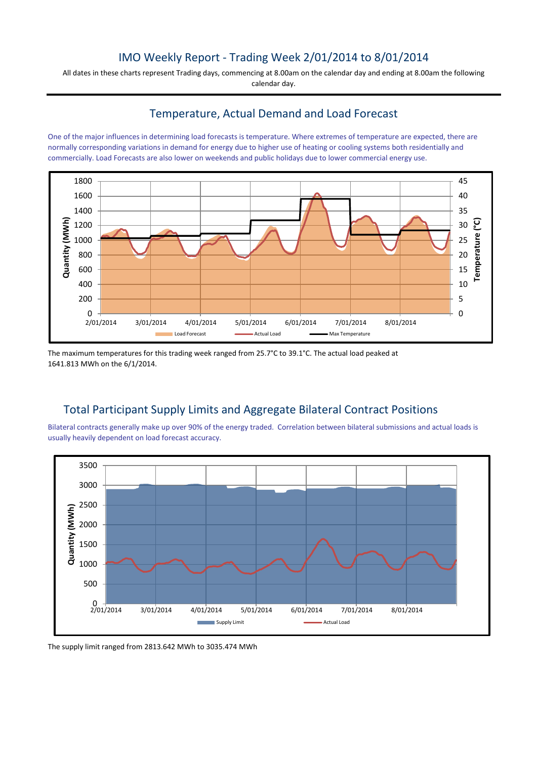### IMO Weekly Report - Trading Week 2/01/2014 to 8/01/2014

All dates in these charts represent Trading days, commencing at 8.00am on the calendar day and ending at 8.00am the following calendar day.

### Temperature, Actual Demand and Load Forecast

One of the major influences in determining load forecasts is temperature. Where extremes of temperature are expected, there are normally corresponding variations in demand for energy due to higher use of heating or cooling systems both residentially and commercially. Load Forecasts are also lower on weekends and public holidays due to lower commercial energy use.



The maximum temperatures for this trading week ranged from 25.7°C to 39.1°C. The actual load peaked at 1641.813 MWh on the 6/1/2014.

## Total Participant Supply Limits and Aggregate Bilateral Contract Positions

Bilateral contracts generally make up over 90% of the energy traded. Correlation between bilateral submissions and actual loads is usually heavily dependent on load forecast accuracy.



The supply limit ranged from 2813.642 MWh to 3035.474 MWh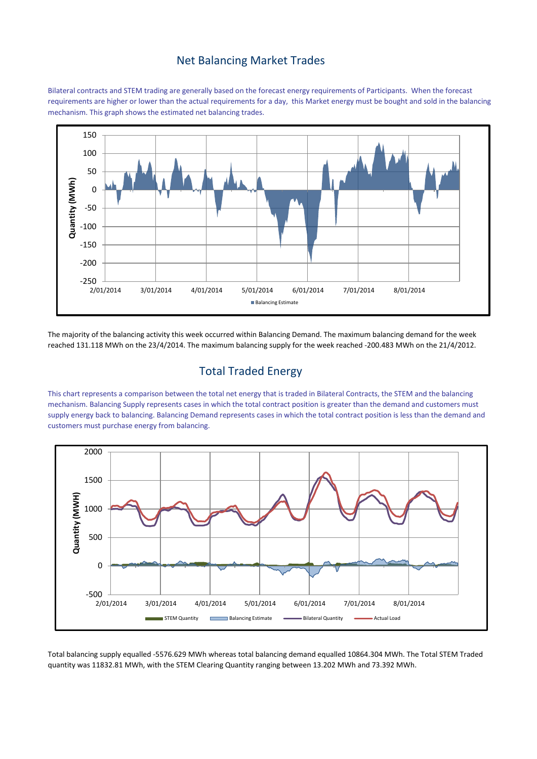#### Net Balancing Market Trades

Bilateral contracts and STEM trading are generally based on the forecast energy requirements of Participants. When the forecast requirements are higher or lower than the actual requirements for a day, this Market energy must be bought and sold in the balancing mechanism. This graph shows the estimated net balancing trades.



The majority of the balancing activity this week occurred within Balancing Demand. The maximum balancing demand for the week reached 131.118 MWh on the 23/4/2014. The maximum balancing supply for the week reached -200.483 MWh on the 21/4/2012.

## Total Traded Energy

This chart represents a comparison between the total net energy that is traded in Bilateral Contracts, the STEM and the balancing mechanism. Balancing Supply represents cases in which the total contract position is greater than the demand and customers must supply energy back to balancing. Balancing Demand represents cases in which the total contract position is less than the demand and customers must purchase energy from balancing.



Total balancing supply equalled -5576.629 MWh whereas total balancing demand equalled 10864.304 MWh. The Total STEM Traded quantity was 11832.81 MWh, with the STEM Clearing Quantity ranging between 13.202 MWh and 73.392 MWh.